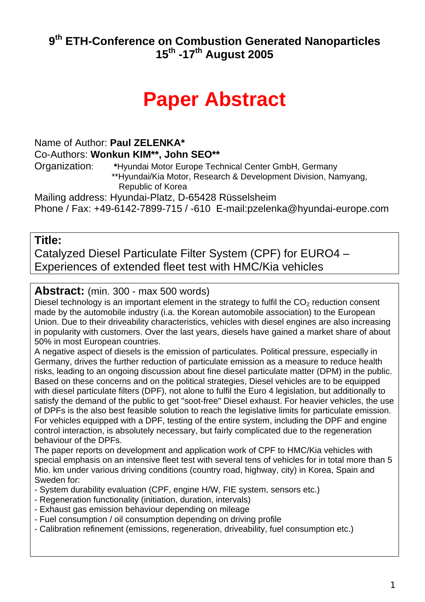#### **9th ETH-Conference on Combustion Generated Nanoparticles 15th -17th August 2005**

# **Paper Abstract**

#### Name of Author: **Paul ZELENKA\***

Co-Authors: **Wonkun KIM\*\*, John SEO\*\***

Organization: **\***Hyundai Motor Europe Technical Center GmbH, Germany \*\*Hyundai/Kia Motor, Research & Development Division, Namyang, Republic of Korea

Mailing address: Hyundai-Platz, D-65428 Rüsselsheim

Phone / Fax: +49-6142-7899-715 / -610 E-mail:pzelenka@hyundai-europe.com

#### **Title:**

Catalyzed Diesel Particulate Filter System (CPF) for EURO4 – Experiences of extended fleet test with HMC/Kia vehicles

#### **Abstract:** (min. 300 - max 500 words)

Diesel technology is an important element in the strategy to fulfil the  $CO<sub>2</sub>$  reduction consent made by the automobile industry (i.a. the Korean automobile association) to the European Union. Due to their driveability characteristics, vehicles with diesel engines are also increasing in popularity with customers. Over the last years, diesels have gained a market share of about 50% in most European countries.

A negative aspect of diesels is the emission of particulates. Political pressure, especially in Germany, drives the further reduction of particulate emission as a measure to reduce health risks, leading to an ongoing discussion about fine diesel particulate matter (DPM) in the public. Based on these concerns and on the political strategies, Diesel vehicles are to be equipped with diesel particulate filters (DPF), not alone to fulfil the Euro 4 legislation, but additionally to satisfy the demand of the public to get "soot-free" Diesel exhaust. For heavier vehicles, the use of DPFs is the also best feasible solution to reach the legislative limits for particulate emission. For vehicles equipped with a DPF, testing of the entire system, including the DPF and engine control interaction, is absolutely necessary, but fairly complicated due to the regeneration behaviour of the DPFs.

The paper reports on development and application work of CPF to HMC/Kia vehicles with special emphasis on an intensive fleet test with several tens of vehicles for in total more than 5 Mio. km under various driving conditions (country road, highway, city) in Korea, Spain and Sweden for:

- System durability evaluation (CPF, engine H/W, FIE system, sensors etc.)

- Regeneration functionality (initiation, duration, intervals)
- Exhaust gas emission behaviour depending on mileage
- Fuel consumption / oil consumption depending on driving profile
- Calibration refinement (emissions, regeneration, driveability, fuel consumption etc.)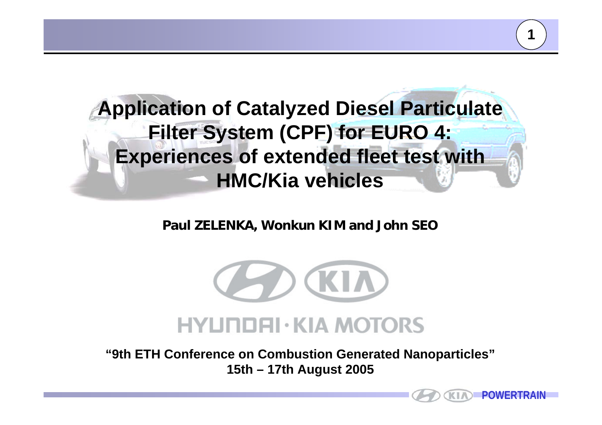

**Paul ZELENKA, Wonkun KIM and John SEO**



**"9th ETH Conference on Combustion Generated Nanoparticles" 15th – 17th August 2005**

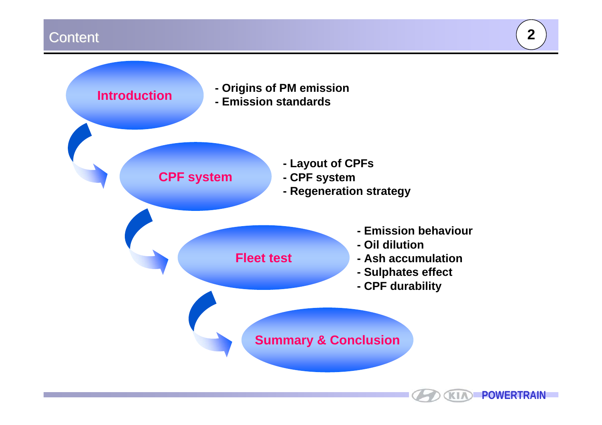### Content Content **2**

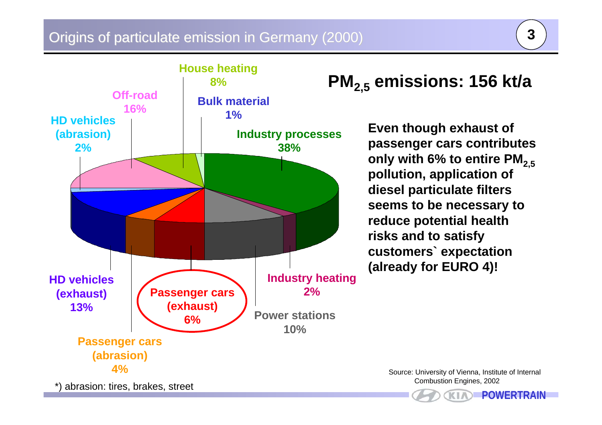#### Origins of particulate emission in Germany (2000)



## **PM2,5 emissions: 156 kt/a**

**Even though exhaust of passenger cars contributes**  only with 6% to entire PM<sub>2.5</sub> **pollution, application of diesel particulate filters seems to be necessary to reduce potential health risks and to satisfy customers` expectation (already for EURO 4)!**

> Source: University of Vienna, Institute of Internal Combustion Engines, 2002

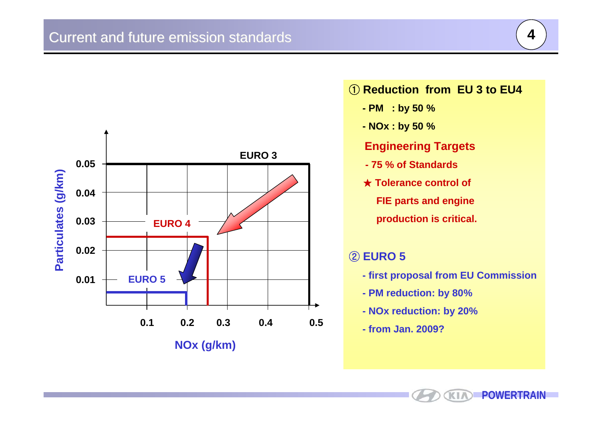

#### ① **Reduction from EU 3 to EU4**

- **- PM : by 50 %**
- **- NOx : by 50 %**

#### **Engineering Targets**

- **- 75 % of Standards**
- ★ **Tolerance control of FIE parts and engine production is critical.**

#### ② **EURO 5**

- **- first proposal from EU Commission**
- **- PM reduction: by 80%**
- **- NOx reduction: by 20%**
- **- from Jan. 2009?**

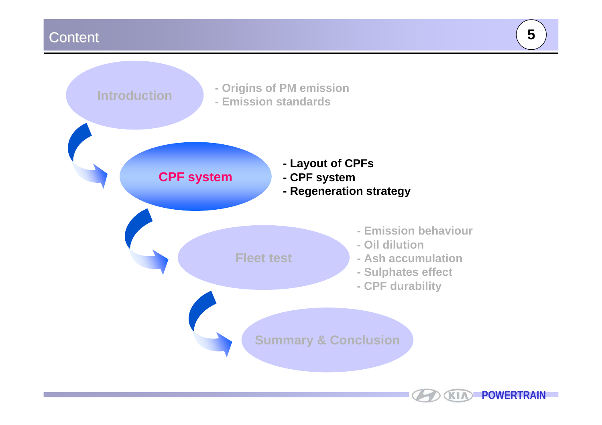## Content Content **5**

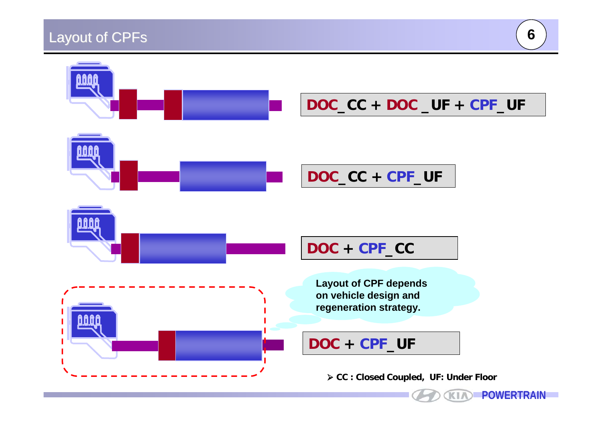## Layout of CPFs



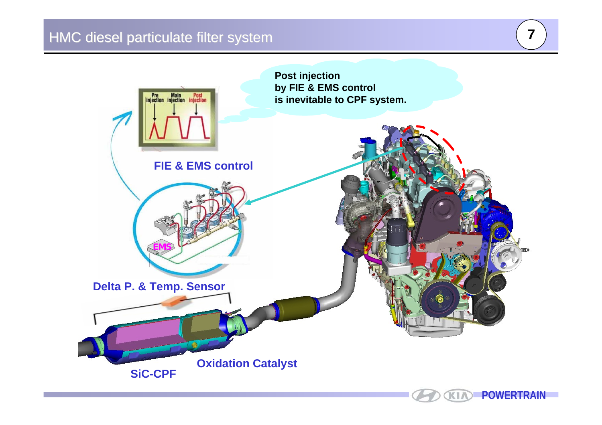### HMC diesel particulate filter system

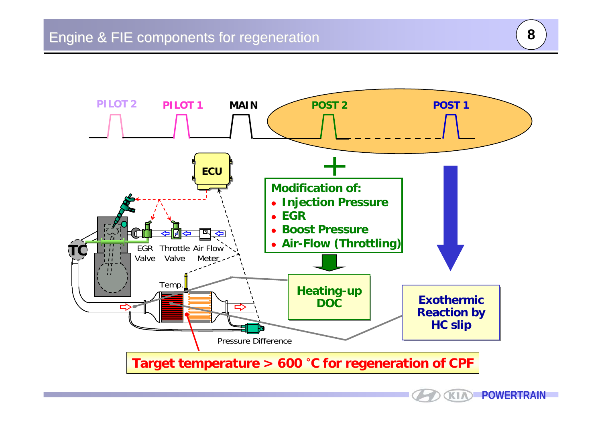



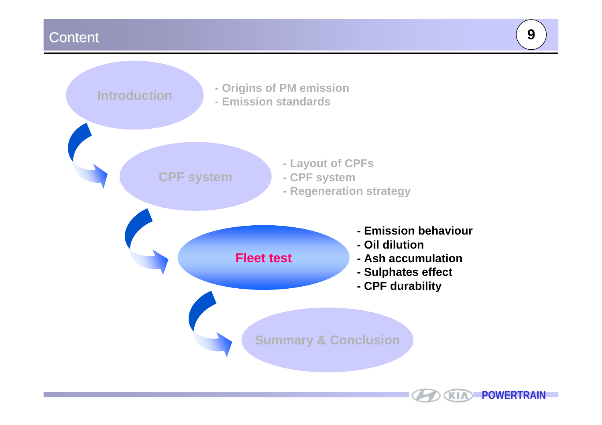#### Content Content **9**

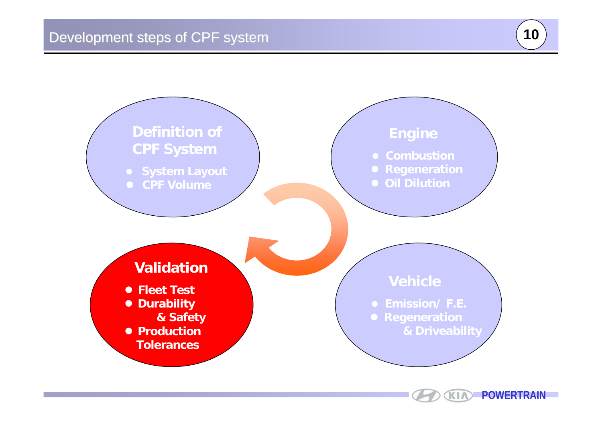



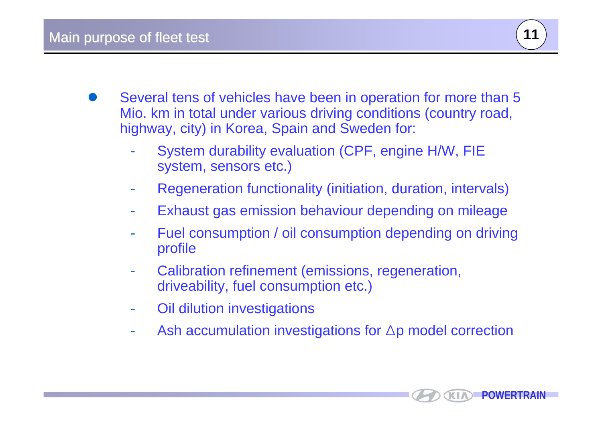

- $\bullet$  Several tens of vehicles have been in operation for more than 5 Mio. km in total under various driving conditions (country road, highway, city) in Korea, Spain and Sweden for:
	- - System durability evaluation (CPF, engine H/W, FIE system, sensors etc.)
	- Regeneration functionality (initiation, duration, intervals)
	- Exhaust gas emission behaviour depending on mileage
	- Fuel consumption / oil consumption depending on driving profile
	- - Calibration refinement (emissions, regeneration, driveability, fuel consumption etc.)
	- -Oil dilution investigations
	- -Ash accumulation investigations for Δp model correction

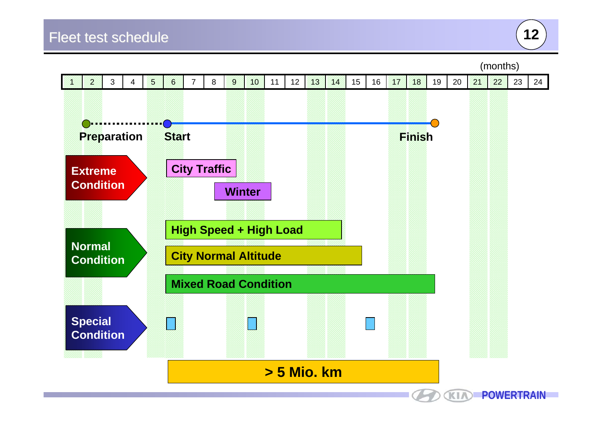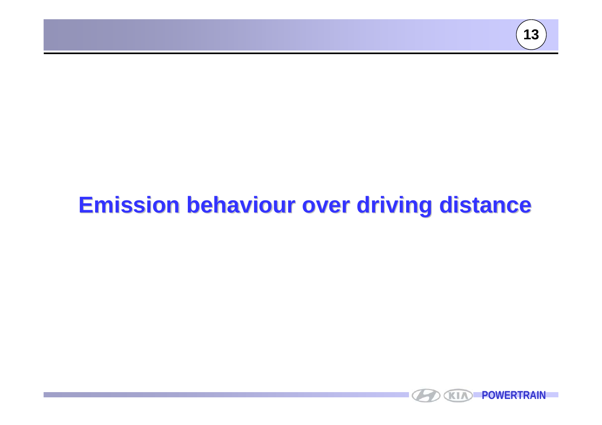

# **Emission behaviour over driving distance Emission behaviour over driving distance**

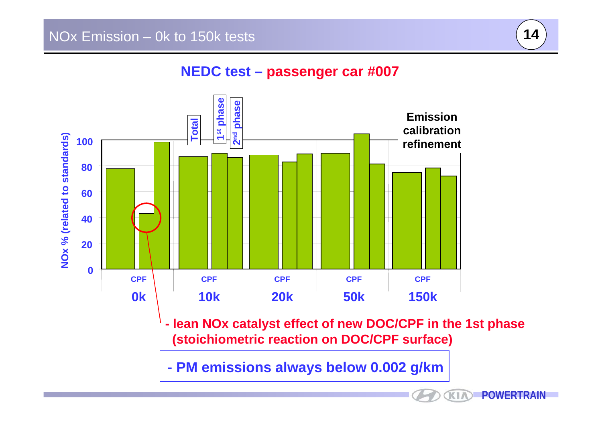

#### **NEDC test – passenger car #007**



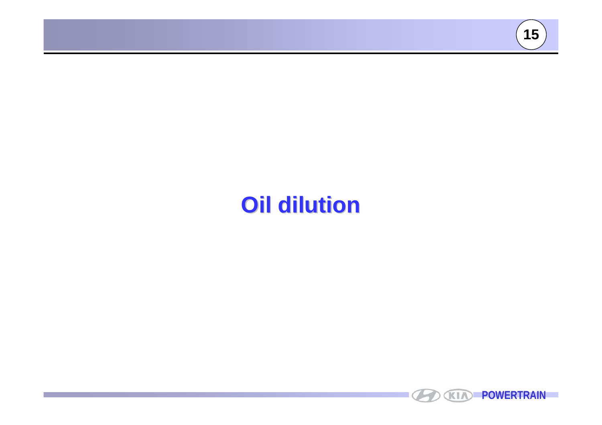

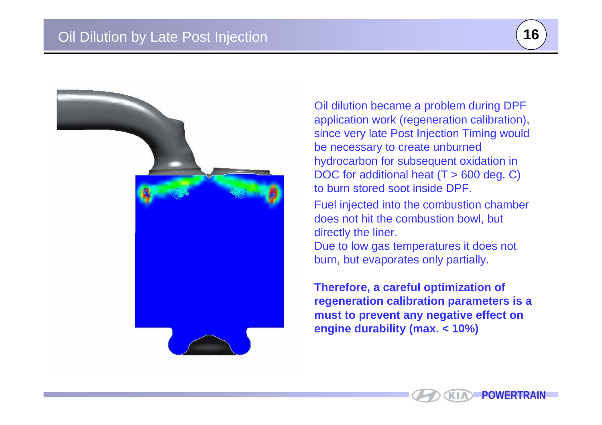



Oil dilution became a problem during DPF application work (regeneration calibration), since very late Post Injection Timing would be necessary to create unburned hydrocarbon for subsequent oxidation in DOC for additional heat (T > 600 deg. C) to burn stored soot inside DPF.

Fuel injected into the combustion chamber does not hit the combustion bowl, but directly the liner.

Due to low gas temperatures it does not burn, but evaporates only partially.

**Therefore, a careful optimization of regeneration calibration parameters is a must to prevent any negative effect on engine durability (max. < 10%)**

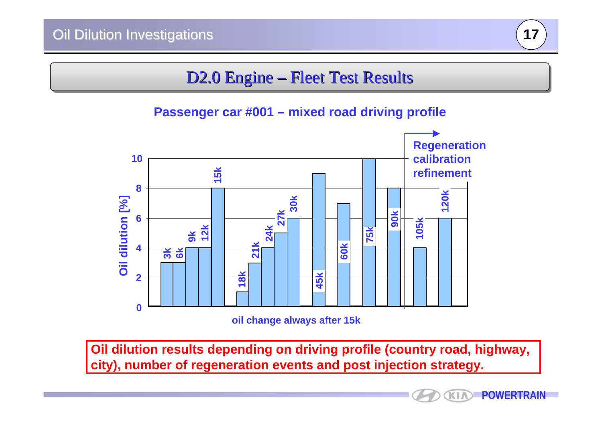

## D2.0 Engine – Fleet Test Results

**Passenger car #001 – mixed road driving profile**



**Oil dilution results depending on driving profile (country road, highway, city), number of regeneration events and post injection strategy.**

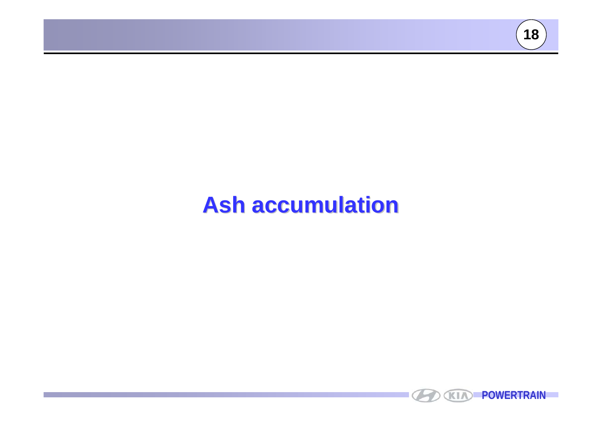

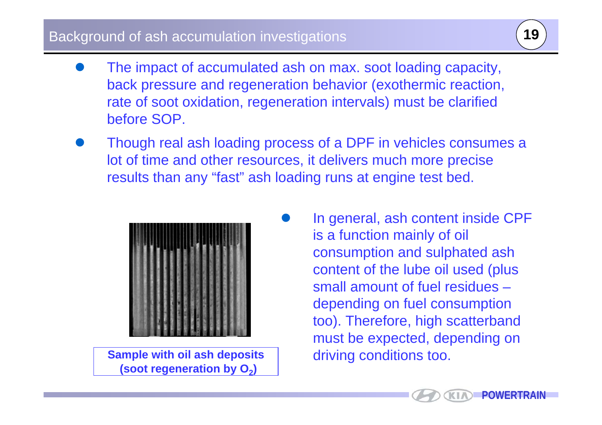#### Background of ash accumulation investigations **<sup>19</sup>**

- $\bullet$  The impact of accumulated ash on max. soot loading capacity, back pressure and regeneration behavior (exothermic reaction, rate of soot oxidation, regeneration intervals) must be clarified before SOP.
- $\bullet$  Though real ash loading process of a DPF in vehicles consumes a lot of time and other resources, it delivers much more precise results than any "fast" ash loading runs at engine test bed.

 $\bullet$ 



**Sample with oil ash deposits (soot regeneration by O 2)** 

 In general, ash content inside CPF is a function mainly of oil consumption and sulphated ash content of the lube oil used (plus small amount of fuel residues –depending on fuel consumption too). Therefore, high scatterband must be expected, depending on driving conditions too.

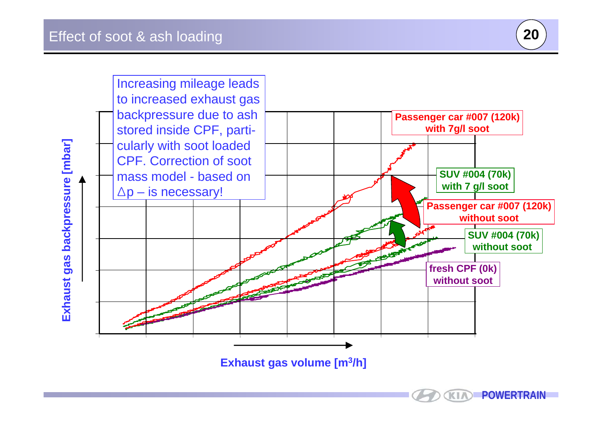



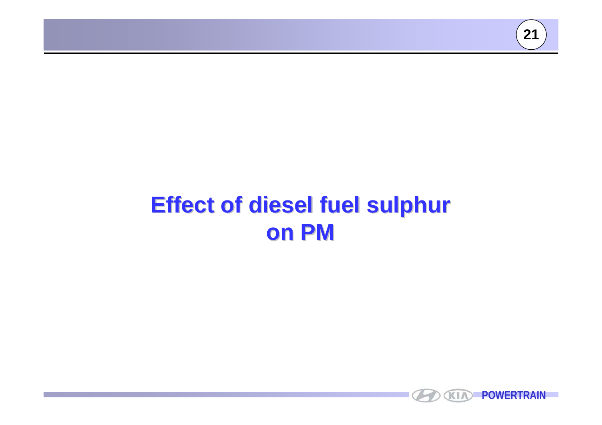

# **Effect of diesel fuel sulphur Effect of diesel fuel sulphur on PM**

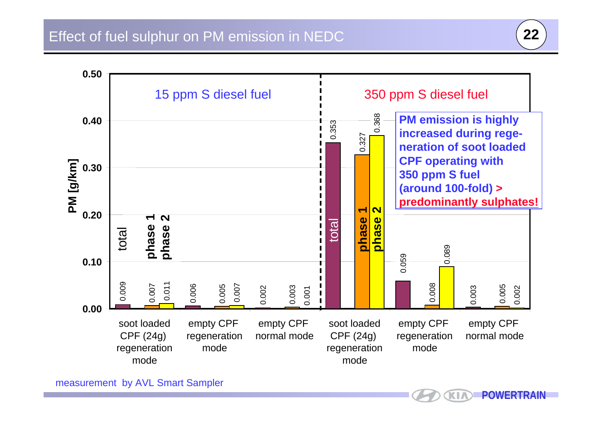



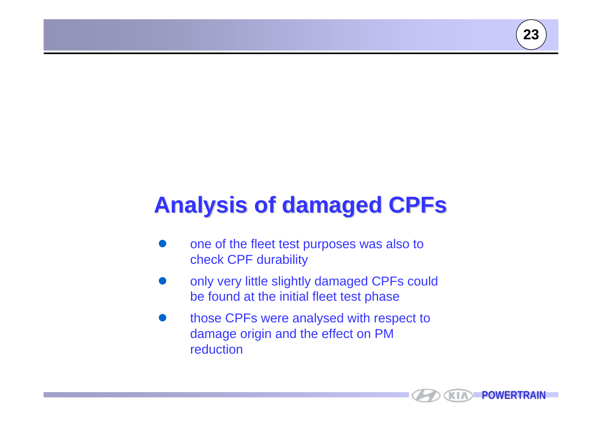# **Analysis of damaged CPFs**

- $\bullet$  one of the fleet test purposes was also to check CPF durability
- $\bullet$  only very little slightly damaged CPFs could be found at the initial fleet test phase
- $\bullet$  those CPFs were analysed with respect to damage origin and the effect on PM reduction

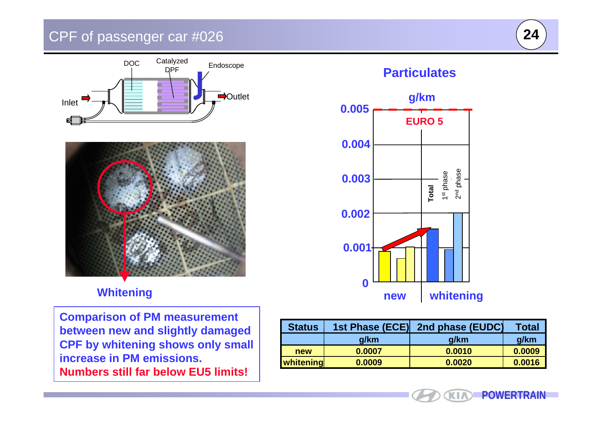### CPF of passenger car #026 **<sup>24</sup>**







#### **Whitening**

**Comparison of PM measurement between new and slightly damaged CPF by whitening shows only small increase in PM emissions. Numbers still far below EU5 limits!**



| <b>Status</b> | 1st Phase (ECE) | 2nd phase (EUDC) | <b>Total</b> |
|---------------|-----------------|------------------|--------------|
|               | g/km            | g/km             | g/km         |
| new           | 0.0007          | 0.0010           | 0.0009       |
| whitening     | 0.0009          | 0.0020           | 0.0016       |

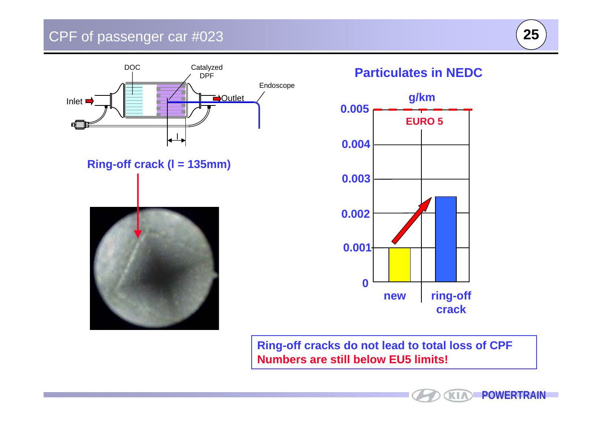## CPF of passenger car #023



**Ring-off crack (l = 135mm)**



#### **Particulates in NEDC**



**Ring-off cracks do not lead to total loss of CPF Numbers are still below EU5 limits!**

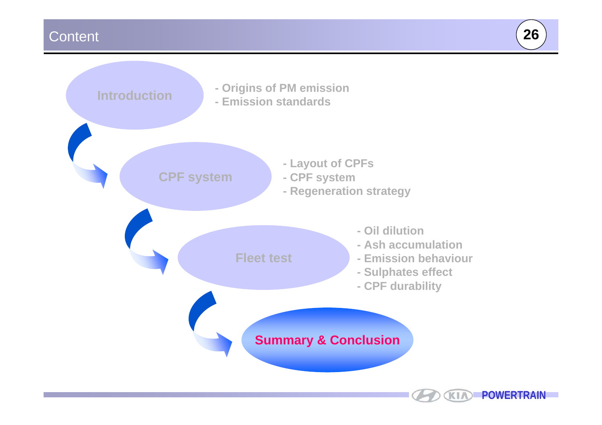#### Content **26**

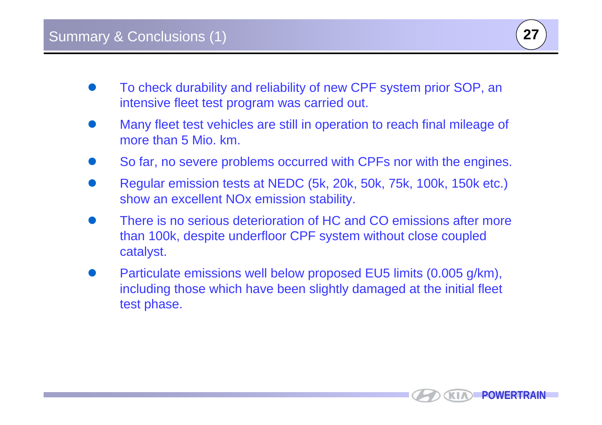

- O To check durability and reliability of new CPF system prior SOP, an intensive fleet test program was carried out.
- O Many fleet test vehicles are still in operation to reach final mileage of more than 5 Mio. km.
- O So far, no severe problems occurred with CPFs nor with the engines.
- O Regular emission tests at NEDC (5k, 20k, 50k, 75k, 100k, 150k etc.) show an excellent NOx emission stability.
- $\bullet$  There is no serious deterioration of HC and CO emissions after more than 100k, despite underfloor CPF system without close coupled catalyst.
- O Particulate emissions well below proposed EU5 limits (0.005 g/km), including those which have been slightly damaged at the initial fleet test phase.

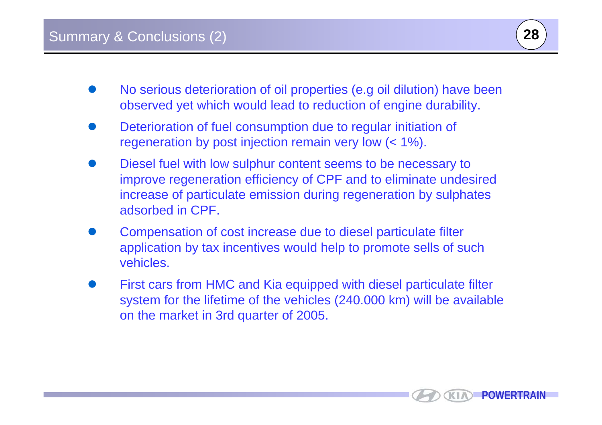

- O No serious deterioration of oil properties (e.g oil dilution) have been observed yet which would lead to reduction of engine durability.
- O Deterioration of fuel consumption due to regular initiation of regeneration by post injection remain very low (< 1%).
- O Diesel fuel with low sulphur content seems to be necessary to improve regeneration efficiency of CPF and to eliminate undesired increase of particulate emission during regeneration by sulphates adsorbed in CPF.
- O Compensation of cost increase due to diesel particulate filter application by tax incentives would help to promote sells of such vehicles.
- O First cars from HMC and Kia equipped with diesel particulate filter system for the lifetime of the vehicles (240.000 km) will be available on the market in 3rd quarter of 2005.